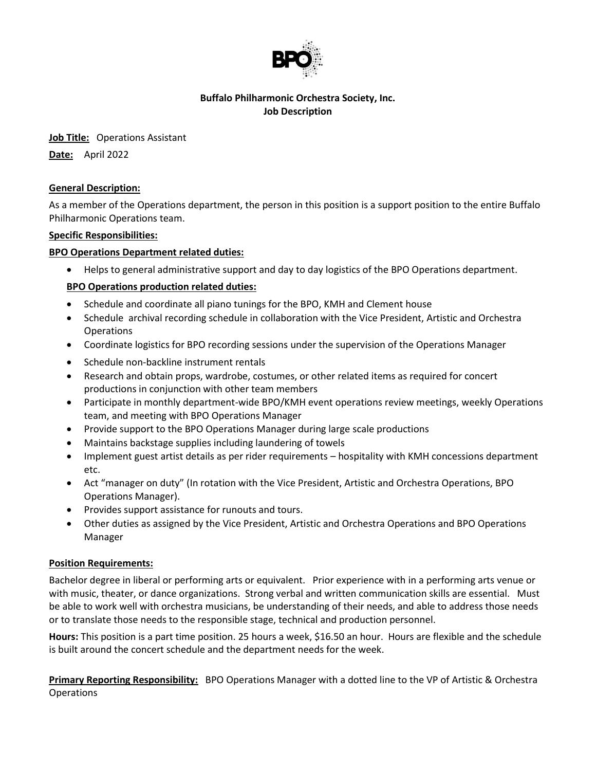

## **Buffalo Philharmonic Orchestra Society, Inc. Job Description**

**Job Title:** Operations Assistant

**Date:** April 2022

## **General Description:**

As a member of the Operations department, the person in this position is a support position to the entire Buffalo Philharmonic Operations team.

## **Specific Responsibilities:**

## **BPO Operations Department related duties:**

Helps to general administrative support and day to day logistics of the BPO Operations department.

## **BPO Operations production related duties:**

- Schedule and coordinate all piano tunings for the BPO, KMH and Clement house
- Schedule archival recording schedule in collaboration with the Vice President, Artistic and Orchestra **Operations**
- Coordinate logistics for BPO recording sessions under the supervision of the Operations Manager
- Schedule non-backline instrument rentals
- Research and obtain props, wardrobe, costumes, or other related items as required for concert productions in conjunction with other team members
- Participate in monthly department-wide BPO/KMH event operations review meetings, weekly Operations team, and meeting with BPO Operations Manager
- Provide support to the BPO Operations Manager during large scale productions
- Maintains backstage supplies including laundering of towels
- Implement guest artist details as per rider requirements hospitality with KMH concessions department etc.
- Act "manager on duty" (In rotation with the Vice President, Artistic and Orchestra Operations, BPO Operations Manager).
- Provides support assistance for runouts and tours.
- Other duties as assigned by the Vice President, Artistic and Orchestra Operations and BPO Operations Manager

#### **Position Requirements:**

Bachelor degree in liberal or performing arts or equivalent. Prior experience with in a performing arts venue or with music, theater, or dance organizations. Strong verbal and written communication skills are essential. Must be able to work well with orchestra musicians, be understanding of their needs, and able to address those needs or to translate those needs to the responsible stage, technical and production personnel.

**Hours:** This position is a part time position. 25 hours a week, \$16.50 an hour. Hours are flexible and the schedule is built around the concert schedule and the department needs for the week.

**Primary Reporting Responsibility:** BPO Operations Manager with a dotted line to the VP of Artistic & Orchestra Operations